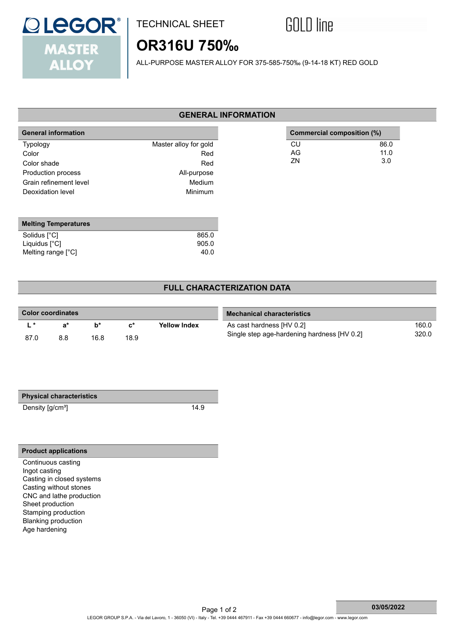

## TECHNICAL SHEET

# **GOLD** line

 **Commercial composition (%)**

CU 86.0<br>AG 11.0 AG 11.0<br>ZN 3.0

3.0

# **OR316U 750‰**

ALL-PURPOSE MASTER ALLOY FOR 375-585-750‰ (9-14-18 KT) RED GOLD

#### **GENERAL INFORMATION**

| <b>General information</b> |                       |
|----------------------------|-----------------------|
| <b>Typology</b>            | Master alloy for gold |
| Color                      | Red                   |
| Color shade                | Red                   |
| Production process         | All-purpose           |
| Grain refinement level     | Medium                |
| Deoxidation level          | Minimum               |

| <b>Melting Temperatures</b> |       |
|-----------------------------|-------|
| Solidus [°C]                | 865.0 |
| Liquidus $[^{\circ}C]$      | 905.0 |
| Melting range [°C]          | 40.0  |

### **FULL CHARACTERIZATION DATA**

| Color coordinates |     |      |      |                     | <b>Mechanical characteristics</b>           |       |  |
|-------------------|-----|------|------|---------------------|---------------------------------------------|-------|--|
|                   | я*  | h*   | c*   | <b>Yellow Index</b> | As cast hardness [HV 0.2]                   | 160.0 |  |
| 87.0              | 8.8 | 16.8 | 18.9 |                     | Single step age-hardening hardness [HV 0.2] | 320.0 |  |

Density [g/cm<sup>3</sup>] 14.9

#### **Product applications**

Continuous casting Ingot casting Casting in closed systems Casting without stones CNC and lathe production Sheet production Stamping production Blanking production Age hardening

 **03/05/2022**